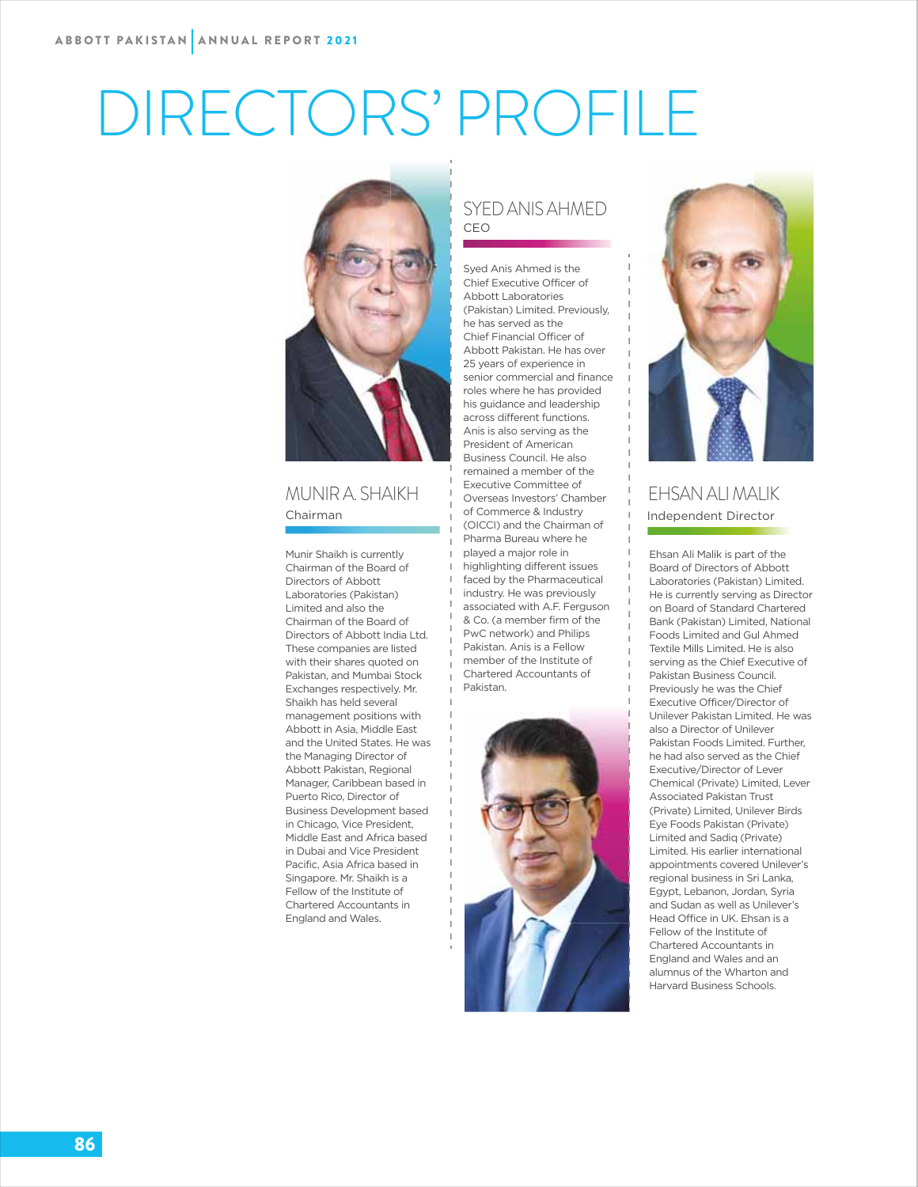# DIRECTORS' PROFILE



#### MUNIR A. SHAIKH Chairman

Munir Shaikh is currently Chairman of the Board of Directors of Abbott Laboratories (Pakistan) Limited and also the Chairman of the Board of Directors of Abbott India Ltd. These companies are listed with their shares quoted on Pakistan, and Mumbai Stock Exchanges respectively. Mr. Shaikh has held several management positions with Abbott in Asia, Middle East and the United States. He was the Managing Director of Abbott Pakistan, Regional Manager, Caribbean based in Puerto Rico, Director of Business Development based in Chicago, Vice President, Middle East and Africa based in Dubai and Vice President Pacific, Asia Africa based in Singapore. Mr. Shaikh is a Fellow of the Institute of Chartered Accountants in England and Wales.

#### SYED ANIS AHMED CEO

Syed Anis Ahmed is the Chief Executive Officer of Abbott Laboratories (Pakistan) Limited. Previously, he has served as the Chief Financial Officer of Abbott Pakistan. He has over 25 years of experience in senior commercial and finance roles where he has provided his guidance and leadership across different functions. Anis is also serving as the President of American Business Council. He also remained a member of the Executive Committee of Overseas Investors' Chamber of Commerce & Industry (OICCI) and the Chairman of Pharma Bureau where he played a major role in highlighting different issues faced by the Pharmaceutical industry. He was previously associated with A.F. Ferguson & Co. (a member firm of the PwC network) and Philips Pakistan. Anis is a Fellow member of the Institute of Chartered Accountants of Pakistan.





#### EHSAN ALI MALIK Independent Director

Ehsan Ali Malik is part of the Board of Directors of Abbott Laboratories (Pakistan) Limited. He is currently serving as Director on Board of Standard Chartered Bank (Pakistan) Limited, National Foods Limited and Gul Ahmed Textile Mills Limited. He is also serving as the Chief Executive of Pakistan Business Council. Previously he was the Chief Executive Officer/Director of Unilever Pakistan Limited. He was also a Director of Unilever Pakistan Foods Limited. Further, he had also served as the Chief Executive/Director of Lever Chemical (Private) Limited, Lever Associated Pakistan Trust (Private) Limited, Unilever Birds Eye Foods Pakistan (Private) Limited and Sadiq (Private) Limited. His earlier international appointments covered Unilever's regional business in Sri Lanka, Egypt, Lebanon, Jordan, Syria and Sudan as well as Unilever's Head Office in UK. Ehsan is a Fellow of the Institute of Chartered Accountants in England and Wales and an alumnus of the Wharton and Harvard Business Schools.